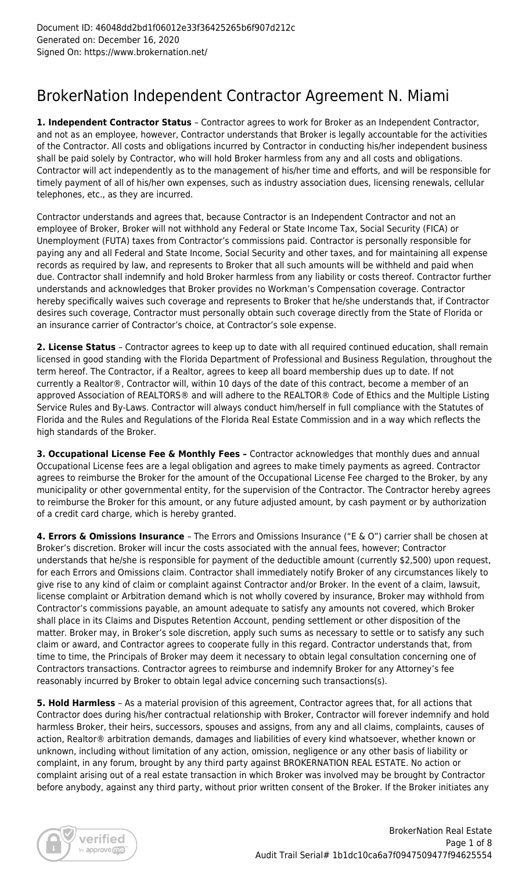## BrokerNation Independent Contractor Agreement N. Miami

**1. Independent Contractor Status** – Contractor agrees to work for Broker as an Independent Contractor, and not as an employee, however, Contractor understands that Broker is legally accountable for the activities of the Contractor. All costs and obligations incurred by Contractor in conducting his/her independent business shall be paid solely by Contractor, who will hold Broker harmless from any and all costs and obligations. Contractor will act independently as to the management of his/her time and efforts, and will be responsible for timely payment of all of his/her own expenses, such as industry association dues, licensing renewals, cellular telephones, etc., as they are incurred.

Contractor understands and agrees that, because Contractor is an Independent Contractor and not an employee of Broker, Broker will not withhold any Federal or State Income Tax, Social Security (FICA) or Unemployment (FUTA) taxes from Contractor's commissions paid. Contractor is personally responsible for paying any and all Federal and State Income, Social Security and other taxes, and for maintaining all expense records as required by law, and represents to Broker that all such amounts will be withheld and paid when due. Contractor shall indemnify and hold Broker harmless from any liability or costs thereof. Contractor further understands and acknowledges that Broker provides no Workman's Compensation coverage. Contractor hereby specifically waives such coverage and represents to Broker that he/she understands that, if Contractor desires such coverage, Contractor must personally obtain such coverage directly from the State of Florida or an insurance carrier of Contractor's choice, at Contractor's sole expense.

**2. License Status** – Contractor agrees to keep up to date with all required continued education, shall remain licensed in good standing with the Florida Department of Professional and Business Regulation, throughout the term hereof. The Contractor, if a Realtor, agrees to keep all board membership dues up to date. If not currently a Realtor®, Contractor will, within 10 days of the date of this contract, become a member of an approved Association of REALTORS® and will adhere to the REALTOR® Code of Ethics and the Multiple Listing Service Rules and By-Laws. Contractor will always conduct him/herself in full compliance with the Statutes of Florida and the Rules and Regulations of the Florida Real Estate Commission and in a way which reflects the high standards of the Broker.

**3. Occupational License Fee & Monthly Fees –** Contractor acknowledges that monthly dues and annual Occupational License fees are a legal obligation and agrees to make timely payments as agreed. Contractor agrees to reimburse the Broker for the amount of the Occupational License Fee charged to the Broker, by any municipality or other governmental entity, for the supervision of the Contractor. The Contractor hereby agrees to reimburse the Broker for this amount, or any future adjusted amount, by cash payment or by authorization of a credit card charge, which is hereby granted.

**4. Errors & Omissions Insurance** – The Errors and Omissions Insurance ("E & O") carrier shall be chosen at Broker's discretion. Broker will incur the costs associated with the annual fees, however; Contractor understands that he/she is responsible for payment of the deductible amount (currently \$2,500) upon request, for each Errors and Omissions claim. Contractor shall immediately notify Broker of any circumstances likely to give rise to any kind of claim or complaint against Contractor and/or Broker. In the event of a claim, lawsuit, license complaint or Arbitration demand which is not wholly covered by insurance, Broker may withhold from Contractor's commissions payable, an amount adequate to satisfy any amounts not covered, which Broker shall place in its Claims and Disputes Retention Account, pending settlement or other disposition of the matter. Broker may, in Broker's sole discretion, apply such sums as necessary to settle or to satisfy any such claim or award, and Contractor agrees to cooperate fully in this regard. Contractor understands that, from time to time, the Principals of Broker may deem it necessary to obtain legal consultation concerning one of Contractors transactions. Contractor agrees to reimburse and indemnify Broker for any Attorney's fee reasonably incurred by Broker to obtain legal advice concerning such transactions(s).

**5. Hold Harmless** – As a material provision of this agreement, Contractor agrees that, for all actions that Contractor does during his/her contractual relationship with Broker, Contractor will forever indemnify and hold harmless Broker, their heirs, successors, spouses and assigns, from any and all claims, complaints, causes of action, Realtor® arbitration demands, damages and liabilities of every kind whatsoever, whether known or unknown, including without limitation of any action, omission, negligence or any other basis of liability or complaint, in any forum, brought by any third party against BROKERNATION REAL ESTATE. No action or complaint arising out of a real estate transaction in which Broker was involved may be brought by Contractor before anybody, against any third party, without prior written consent of the Broker. If the Broker initiates any

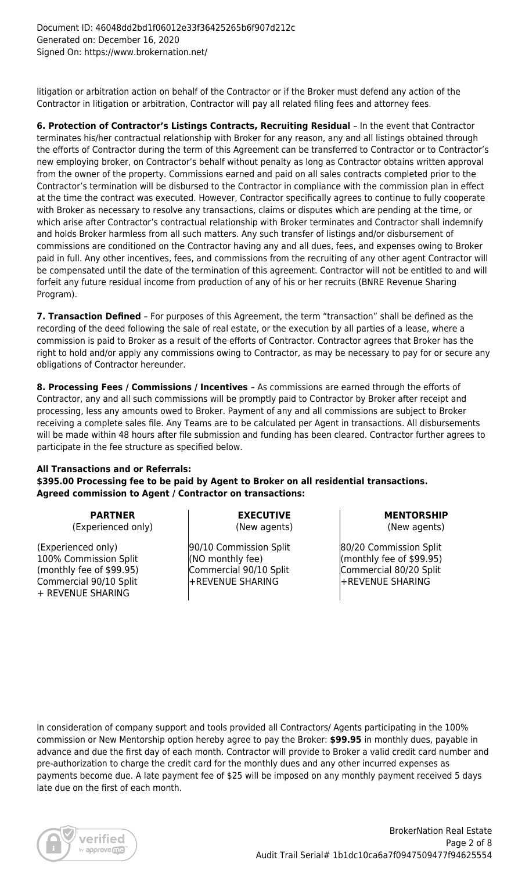litigation or arbitration action on behalf of the Contractor or if the Broker must defend any action of the Contractor in litigation or arbitration, Contractor will pay all related filing fees and attorney fees.

**6. Protection of Contractor's Listings Contracts, Recruiting Residual** – In the event that Contractor terminates his/her contractual relationship with Broker for any reason, any and all listings obtained through the efforts of Contractor during the term of this Agreement can be transferred to Contractor or to Contractor's new employing broker, on Contractor's behalf without penalty as long as Contractor obtains written approval from the owner of the property. Commissions earned and paid on all sales contracts completed prior to the Contractor's termination will be disbursed to the Contractor in compliance with the commission plan in effect at the time the contract was executed. However, Contractor specifically agrees to continue to fully cooperate with Broker as necessary to resolve any transactions, claims or disputes which are pending at the time, or which arise after Contractor's contractual relationship with Broker terminates and Contractor shall indemnify and holds Broker harmless from all such matters. Any such transfer of listings and/or disbursement of commissions are conditioned on the Contractor having any and all dues, fees, and expenses owing to Broker paid in full. Any other incentives, fees, and commissions from the recruiting of any other agent Contractor will be compensated until the date of the termination of this agreement. Contractor will not be entitled to and will forfeit any future residual income from production of any of his or her recruits (BNRE Revenue Sharing Program).

**7. Transaction Defined** – For purposes of this Agreement, the term "transaction" shall be defined as the recording of the deed following the sale of real estate, or the execution by all parties of a lease, where a commission is paid to Broker as a result of the efforts of Contractor. Contractor agrees that Broker has the right to hold and/or apply any commissions owing to Contractor, as may be necessary to pay for or secure any obligations of Contractor hereunder.

**8. Processing Fees / Commissions / Incentives** – As commissions are earned through the efforts of Contractor, any and all such commissions will be promptly paid to Contractor by Broker after receipt and processing, less any amounts owed to Broker. Payment of any and all commissions are subject to Broker receiving a complete sales file. Any Teams are to be calculated per Agent in transactions. All disbursements will be made within 48 hours after file submission and funding has been cleared. Contractor further agrees to participate in the fee structure as specified below.

### **All Transactions and or Referrals: \$395.00 Processing fee to be paid by Agent to Broker on all residential transactions. Agreed commission to Agent / Contractor on transactions:**

**PARTNER** (Experienced only)

(Experienced only) 100% Commission Split (monthly fee of \$99.95) Commercial 90/10 Split + REVENUE SHARING

**EXECUTIVE** (New agents)

90/10 Commission Split (NO monthly fee) Commercial 90/10 Split +REVENUE SHARING

**MENTORSHIP** (New agents)

80/20 Commission Split (monthly fee of \$99.95) Commercial 80/20 Split +REVENUE SHARING

In consideration of company support and tools provided all Contractors/ Agents participating in the 100% commission or New Mentorship option hereby agree to pay the Broker: **\$99.95** in monthly dues, payable in advance and due the first day of each month. Contractor will provide to Broker a valid credit card number and pre-authorization to charge the credit card for the monthly dues and any other incurred expenses as payments become due. A late payment fee of \$25 will be imposed on any monthly payment received 5 days late due on the first of each month.

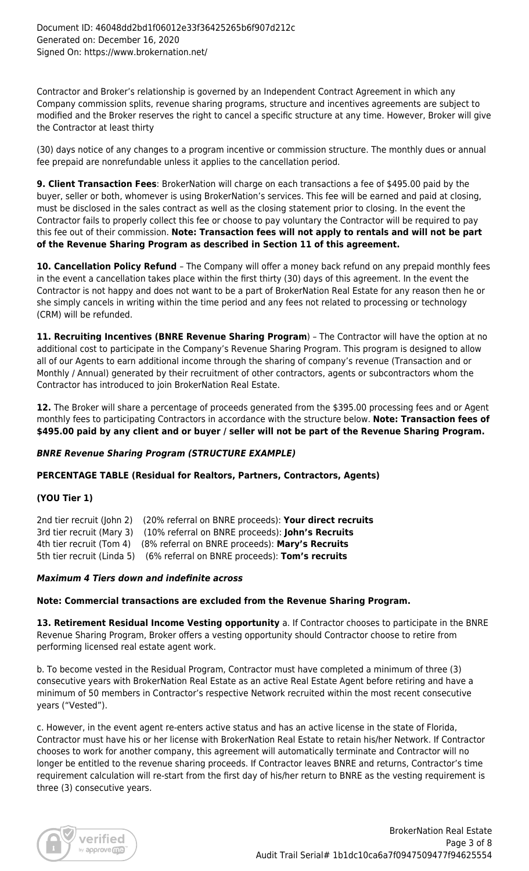Contractor and Broker's relationship is governed by an Independent Contract Agreement in which any Company commission splits, revenue sharing programs, structure and incentives agreements are subject to modified and the Broker reserves the right to cancel a specific structure at any time. However, Broker will give the Contractor at least thirty

(30) days notice of any changes to a program incentive or commission structure. The monthly dues or annual fee prepaid are nonrefundable unless it applies to the cancellation period.

**9. Client Transaction Fees**: BrokerNation will charge on each transactions a fee of \$495.00 paid by the buyer, seller or both, whomever is using BrokerNation's services. This fee will be earned and paid at closing, must be disclosed in the sales contract as well as the closing statement prior to closing. In the event the Contractor fails to properly collect this fee or choose to pay voluntary the Contractor will be required to pay this fee out of their commission. **Note: Transaction fees will not apply to rentals and will not be part of the Revenue Sharing Program as described in Section 11 of this agreement.**

**10. Cancellation Policy Refund** – The Company will offer a money back refund on any prepaid monthly fees in the event a cancellation takes place within the first thirty (30) days of this agreement. In the event the Contractor is not happy and does not want to be a part of BrokerNation Real Estate for any reason then he or she simply cancels in writing within the time period and any fees not related to processing or technology (CRM) will be refunded.

**11. Recruiting Incentives (BNRE Revenue Sharing Program**) – The Contractor will have the option at no additional cost to participate in the Company's Revenue Sharing Program. This program is designed to allow all of our Agents to earn additional income through the sharing of company's revenue (Transaction and or Monthly / Annual) generated by their recruitment of other contractors, agents or subcontractors whom the Contractor has introduced to join BrokerNation Real Estate.

**12.** The Broker will share a percentage of proceeds generated from the \$395.00 processing fees and or Agent monthly fees to participating Contractors in accordance with the structure below. **Note: Transaction fees of \$495.00 paid by any client and or buyer / seller will not be part of the Revenue Sharing Program.**

## *BNRE Revenue Sharing Program (STRUCTURE EXAMPLE)*

**PERCENTAGE TABLE (Residual for Realtors, Partners, Contractors, Agents)**

#### **(YOU Tier 1)**

2nd tier recruit (John 2) (20% referral on BNRE proceeds): **Your direct recruits** 3rd tier recruit (Mary 3) (10% referral on BNRE proceeds): **John's Recruits** 4th tier recruit (Tom 4) (8% referral on BNRE proceeds): **Mary's Recruits** 5th tier recruit (Linda 5) (6% referral on BNRE proceeds): **Tom's recruits**

#### *Maximum 4 Tiers down and indefinite across*

#### **Note: Commercial transactions are excluded from the Revenue Sharing Program.**

**13. Retirement Residual Income Vesting opportunity** a. If Contractor chooses to participate in the BNRE Revenue Sharing Program, Broker offers a vesting opportunity should Contractor choose to retire from performing licensed real estate agent work.

b. To become vested in the Residual Program, Contractor must have completed a minimum of three (3) consecutive years with BrokerNation Real Estate as an active Real Estate Agent before retiring and have a minimum of 50 members in Contractor's respective Network recruited within the most recent consecutive years ("Vested").

c. However, in the event agent re-enters active status and has an active license in the state of Florida, Contractor must have his or her license with BrokerNation Real Estate to retain his/her Network. If Contractor chooses to work for another company, this agreement will automatically terminate and Contractor will no longer be entitled to the revenue sharing proceeds. If Contractor leaves BNRE and returns, Contractor's time requirement calculation will re-start from the first day of his/her return to BNRE as the vesting requirement is three (3) consecutive years.

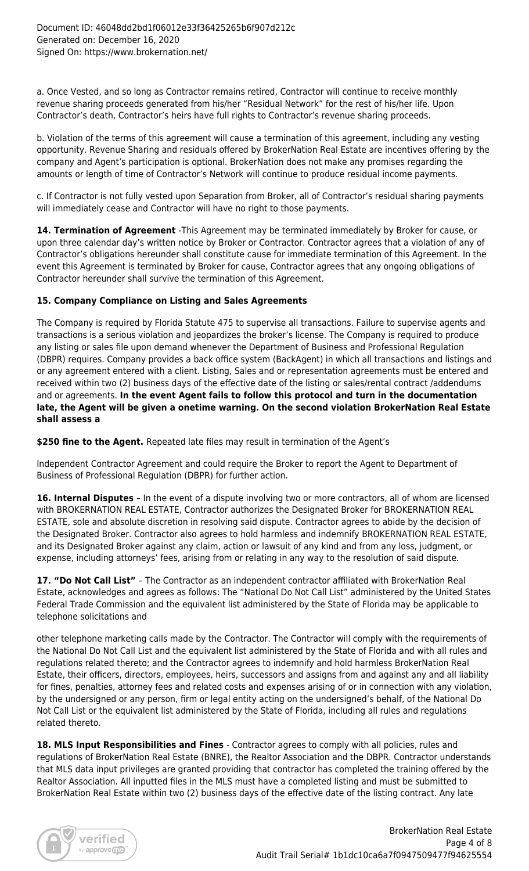a. Once Vested, and so long as Contractor remains retired, Contractor will continue to receive monthly revenue sharing proceeds generated from his/her "Residual Network" for the rest of his/her life. Upon Contractor's death, Contractor's heirs have full rights to Contractor's revenue sharing proceeds.

b. Violation of the terms of this agreement will cause a termination of this agreement, including any vesting opportunity. Revenue Sharing and residuals offered by BrokerNation Real Estate are incentives offering by the company and Agent's participation is optional. BrokerNation does not make any promises regarding the amounts or length of time of Contractor's Network will continue to produce residual income payments.

c. If Contractor is not fully vested upon Separation from Broker, all of Contractor's residual sharing payments will immediately cease and Contractor will have no right to those payments.

**14. Termination of Agreement** -This Agreement may be terminated immediately by Broker for cause, or upon three calendar day's written notice by Broker or Contractor. Contractor agrees that a violation of any of Contractor's obligations hereunder shall constitute cause for immediate termination of this Agreement. In the event this Agreement is terminated by Broker for cause, Contractor agrees that any ongoing obligations of Contractor hereunder shall survive the termination of this Agreement.

## **15. Company Compliance on Listing and Sales Agreements**

The Company is required by Florida Statute 475 to supervise all transactions. Failure to supervise agents and transactions is a serious violation and jeopardizes the broker's license. The Company is required to produce any listing or sales file upon demand whenever the Department of Business and Professional Regulation (DBPR) requires. Company provides a back office system (BackAgent) in which all transactions and listings and or any agreement entered with a client. Listing, Sales and or representation agreements must be entered and received within two (2) business days of the effective date of the listing or sales/rental contract /addendums and or agreements. **In the event Agent fails to follow this protocol and turn in the documentation late, the Agent will be given a onetime warning. On the second violation BrokerNation Real Estate shall assess a**

**\$250 fine to the Agent.** Repeated late files may result in termination of the Agent's

Independent Contractor Agreement and could require the Broker to report the Agent to Department of Business of Professional Regulation (DBPR) for further action.

**16. Internal Disputes** – In the event of a dispute involving two or more contractors, all of whom are licensed with BROKERNATION REAL ESTATE, Contractor authorizes the Designated Broker for BROKERNATION REAL ESTATE, sole and absolute discretion in resolving said dispute. Contractor agrees to abide by the decision of the Designated Broker. Contractor also agrees to hold harmless and indemnify BROKERNATION REAL ESTATE, and its Designated Broker against any claim, action or lawsuit of any kind and from any loss, judgment, or expense, including attorneys' fees, arising from or relating in any way to the resolution of said dispute.

**17. "Do Not Call List"** – The Contractor as an independent contractor affiliated with BrokerNation Real Estate, acknowledges and agrees as follows: The "National Do Not Call List" administered by the United States Federal Trade Commission and the equivalent list administered by the State of Florida may be applicable to telephone solicitations and

other telephone marketing calls made by the Contractor. The Contractor will comply with the requirements of the National Do Not Call List and the equivalent list administered by the State of Florida and with all rules and regulations related thereto; and the Contractor agrees to indemnify and hold harmless BrokerNation Real Estate, their officers, directors, employees, heirs, successors and assigns from and against any and all liability for fines, penalties, attorney fees and related costs and expenses arising of or in connection with any violation, by the undersigned or any person, firm or legal entity acting on the undersigned's behalf, of the National Do Not Call List or the equivalent list administered by the State of Florida, including all rules and regulations related thereto.

**18. MLS Input Responsibilities and Fines** - Contractor agrees to comply with all policies, rules and regulations of BrokerNation Real Estate (BNRE), the Realtor Association and the DBPR. Contractor understands that MLS data input privileges are granted providing that contractor has completed the training offered by the Realtor Association. All inputted files in the MLS must have a completed listing and must be submitted to BrokerNation Real Estate within two (2) business days of the effective date of the listing contract. Any late

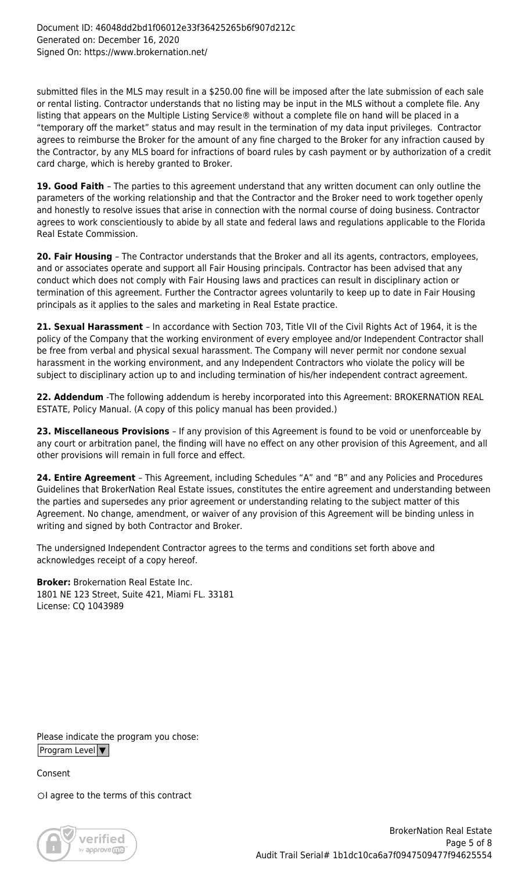submitted files in the MLS may result in a \$250.00 fine will be imposed after the late submission of each sale or rental listing. Contractor understands that no listing may be input in the MLS without a complete file. Any listing that appears on the Multiple Listing Service® without a complete file on hand will be placed in a "temporary off the market" status and may result in the termination of my data input privileges. Contractor agrees to reimburse the Broker for the amount of any fine charged to the Broker for any infraction caused by the Contractor, by any MLS board for infractions of board rules by cash payment or by authorization of a credit card charge, which is hereby granted to Broker.

**19. Good Faith** – The parties to this agreement understand that any written document can only outline the parameters of the working relationship and that the Contractor and the Broker need to work together openly and honestly to resolve issues that arise in connection with the normal course of doing business. Contractor agrees to work conscientiously to abide by all state and federal laws and regulations applicable to the Florida Real Estate Commission.

**20. Fair Housing** – The Contractor understands that the Broker and all its agents, contractors, employees, and or associates operate and support all Fair Housing principals. Contractor has been advised that any conduct which does not comply with Fair Housing laws and practices can result in disciplinary action or termination of this agreement. Further the Contractor agrees voluntarily to keep up to date in Fair Housing principals as it applies to the sales and marketing in Real Estate practice.

**21. Sexual Harassment** – In accordance with Section 703, Title VII of the Civil Rights Act of 1964, it is the policy of the Company that the working environment of every employee and/or Independent Contractor shall be free from verbal and physical sexual harassment. The Company will never permit nor condone sexual harassment in the working environment, and any Independent Contractors who violate the policy will be subject to disciplinary action up to and including termination of his/her independent contract agreement.

**22. Addendum** -The following addendum is hereby incorporated into this Agreement: BROKERNATION REAL ESTATE, Policy Manual. (A copy of this policy manual has been provided.)

**23. Miscellaneous Provisions** – If any provision of this Agreement is found to be void or unenforceable by any court or arbitration panel, the finding will have no effect on any other provision of this Agreement, and all other provisions will remain in full force and effect.

**24. Entire Agreement** – This Agreement, including Schedules "A" and "B" and any Policies and Procedures Guidelines that BrokerNation Real Estate issues, constitutes the entire agreement and understanding between the parties and supersedes any prior agreement or understanding relating to the subject matter of this Agreement. No change, amendment, or waiver of any provision of this Agreement will be binding unless in writing and signed by both Contractor and Broker.

The undersigned Independent Contractor agrees to the terms and conditions set forth above and acknowledges receipt of a copy hereof.

**Broker:** Brokernation Real Estate Inc. 1801 NE 123 Street, Suite 421, Miami FL. 33181 License: CQ 1043989

Please indicate the program you chose: Program Level  $\blacktriangledown$ 

Consent

OI agree to the terms of this contract

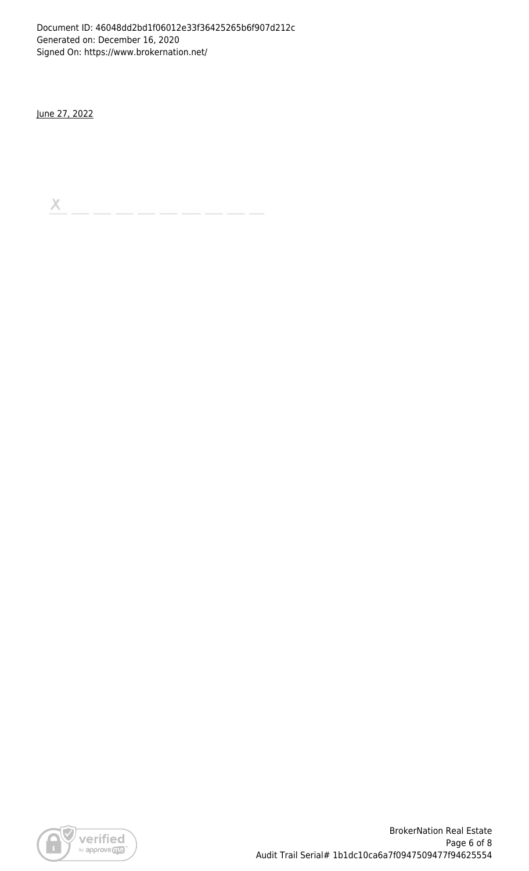Document ID: 46048dd2bd1f06012e33f36425265b6f907d212c Generated on: December 16, 2020 Signed On: https://www.brokernation.net/

June 27, 2022

 $\boldsymbol{\times}$ 

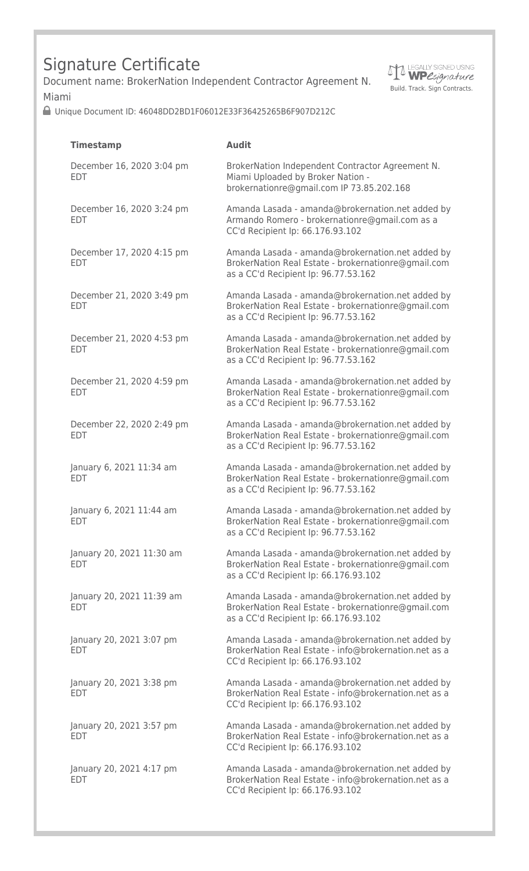# Signature Certificate

Document name: BrokerNation Independent Contractor Agreement N. Miami



Unique Document ID: 46048DD2BD1F06012E33F36425265B6F907D212C

| <b>Timestamp</b>                        | <b>Audit</b>                                                                                                                                     |
|-----------------------------------------|--------------------------------------------------------------------------------------------------------------------------------------------------|
| December 16, 2020 3:04 pm<br><b>EDT</b> | BrokerNation Independent Contractor Agreement N.<br>Miami Uploaded by Broker Nation -<br>brokernationre@gmail.com IP 73.85.202.168               |
| December 16, 2020 3:24 pm<br><b>EDT</b> | Amanda Lasada - amanda@brokernation.net added by<br>Armando Romero - brokernationre@gmail.com as a<br>CC'd Recipient Ip: 66.176.93.102           |
| December 17, 2020 4:15 pm<br><b>EDT</b> | Amanda Lasada - amanda@brokernation.net added by<br>BrokerNation Real Estate - brokernationre@gmail.com<br>as a CC'd Recipient Ip: 96.77.53.162  |
| December 21, 2020 3:49 pm<br><b>EDT</b> | Amanda Lasada - amanda@brokernation.net added by<br>BrokerNation Real Estate - brokernationre@gmail.com<br>as a CC'd Recipient Ip: 96.77.53.162  |
| December 21, 2020 4:53 pm<br><b>EDT</b> | Amanda Lasada - amanda@brokernation.net added by<br>BrokerNation Real Estate - brokernationre@gmail.com<br>as a CC'd Recipient Ip: 96.77.53.162  |
| December 21, 2020 4:59 pm<br><b>EDT</b> | Amanda Lasada - amanda@brokernation.net added by<br>BrokerNation Real Estate - brokernationre@gmail.com<br>as a CC'd Recipient Ip: 96.77.53.162  |
| December 22, 2020 2:49 pm<br><b>EDT</b> | Amanda Lasada - amanda@brokernation.net added by<br>BrokerNation Real Estate - brokernationre@gmail.com<br>as a CC'd Recipient Ip: 96.77.53.162  |
| January 6, 2021 11:34 am<br><b>EDT</b>  | Amanda Lasada - amanda@brokernation.net added by<br>BrokerNation Real Estate - brokernationre@gmail.com<br>as a CC'd Recipient Ip: 96.77.53.162  |
| January 6, 2021 11:44 am<br><b>EDT</b>  | Amanda Lasada - amanda@brokernation.net added by<br>BrokerNation Real Estate - brokernationre@gmail.com<br>as a CC'd Recipient Ip: 96.77.53.162  |
| January 20, 2021 11:30 am<br><b>EDT</b> | Amanda Lasada - amanda@brokernation.net added by<br>BrokerNation Real Estate - brokernationre@gmail.com<br>as a CC'd Recipient Ip: 66.176.93.102 |
| January 20, 2021 11:39 am<br><b>EDT</b> | Amanda Lasada - amanda@brokernation.net added by<br>BrokerNation Real Estate - brokernationre@gmail.com<br>as a CC'd Recipient Ip: 66.176.93.102 |
| January 20, 2021 3:07 pm<br><b>EDT</b>  | Amanda Lasada - amanda@brokernation.net added by<br>BrokerNation Real Estate - info@brokernation.net as a<br>CC'd Recipient Ip: 66.176.93.102    |
| January 20, 2021 3:38 pm<br><b>EDT</b>  | Amanda Lasada - amanda@brokernation.net added by<br>BrokerNation Real Estate - info@brokernation.net as a<br>CC'd Recipient Ip: 66.176.93.102    |
| January 20, 2021 3:57 pm<br><b>EDT</b>  | Amanda Lasada - amanda@brokernation.net added by<br>BrokerNation Real Estate - info@brokernation.net as a<br>CC'd Recipient Ip: 66.176.93.102    |
| January 20, 2021 4:17 pm<br><b>EDT</b>  | Amanda Lasada - amanda@brokernation.net added by<br>BrokerNation Real Estate - info@brokernation.net as a<br>CC'd Recipient Ip: 66.176.93.102    |